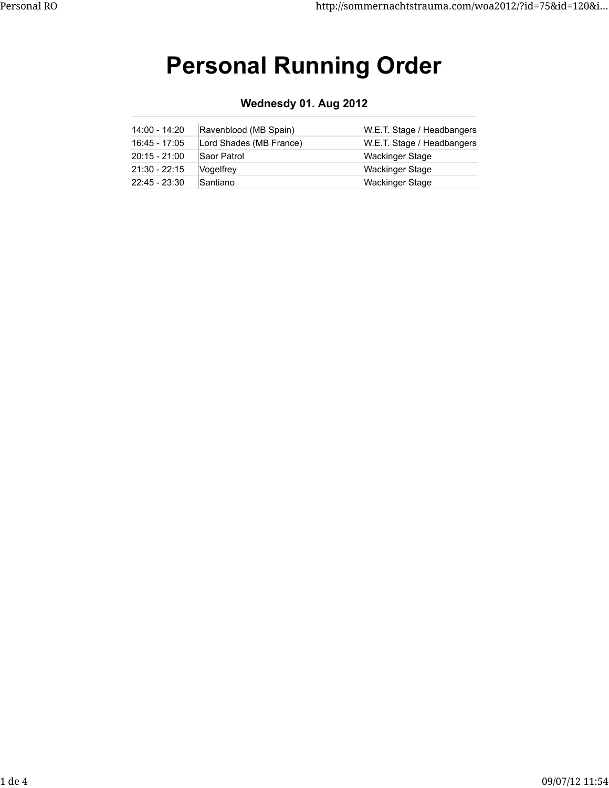# **Personal Running Order**

**Wednesdy 01. Aug 2012**

| 14:00 - 14:20   | Ravenblood (MB Spain)   | W.E.T. Stage / Headbangers |
|-----------------|-------------------------|----------------------------|
| 16:45 - 17:05   | Lord Shades (MB France) | W.E.T. Stage / Headbangers |
| $20:15 - 21:00$ | Saor Patrol             | <b>Wackinger Stage</b>     |
| $21:30 - 22:15$ | Vogelfrey               | <b>Wackinger Stage</b>     |
| $22:45 - 23:30$ | Santiano                | Wackinger Stage            |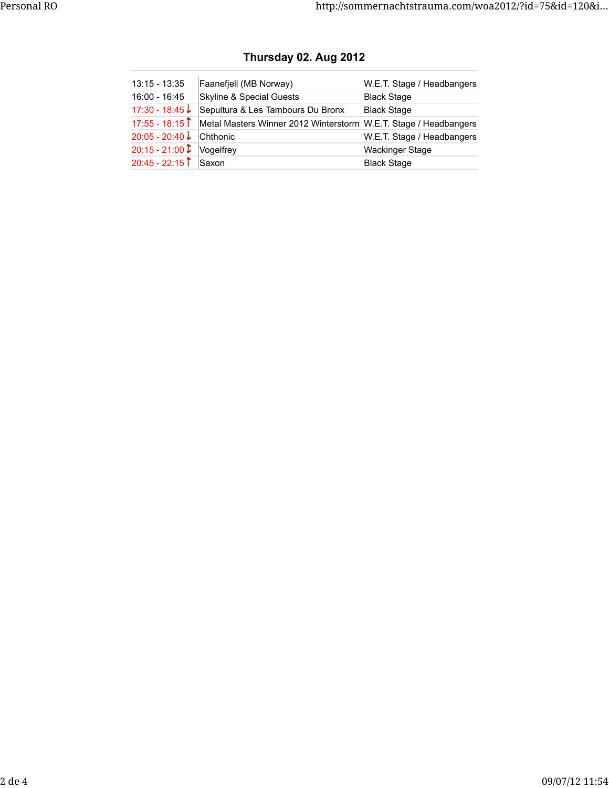| $13:15 - 13:35$   | Faanefjell (MB Norway)                                           | W.E.T. Stage / Headbangers |
|-------------------|------------------------------------------------------------------|----------------------------|
| 16:00 - 16:45     | <b>Skyline &amp; Special Guests</b>                              | <b>Black Stage</b>         |
| $17:30 - 18:45$ ↓ | Sepultura & Les Tambours Du Bronx                                | <b>Black Stage</b>         |
| $17:55 - 18:15$   | Metal Masters Winner 2012 Winterstorm W.E.T. Stage / Headbangers |                            |
| $20:05 - 20:40$   | Chthonic                                                         | W.E.T. Stage / Headbangers |
| $20:15 - 21:00$   | Vogelfrey                                                        | <b>Wackinger Stage</b>     |
| $20:45 - 22:15$   | Saxon                                                            | <b>Black Stage</b>         |

## **Thursday 02. Aug 2012**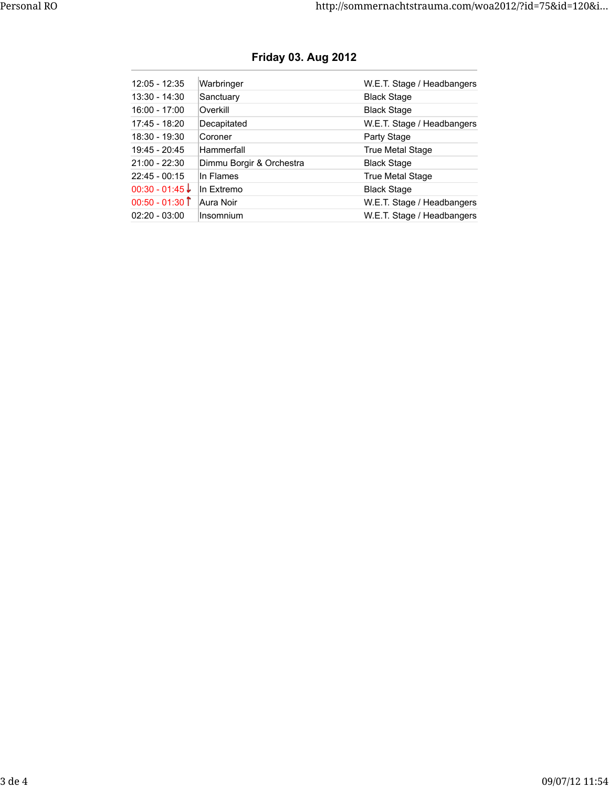| 12:05 - 12:35   | Warbringer               | W.E.T. Stage / Headbangers |
|-----------------|--------------------------|----------------------------|
| $13:30 - 14:30$ | Sanctuary                | <b>Black Stage</b>         |
| $16:00 - 17:00$ | Overkill                 | <b>Black Stage</b>         |
| 17:45 - 18:20   | Decapitated              | W.E.T. Stage / Headbangers |
| $18:30 - 19:30$ | Coroner                  | Party Stage                |
| $19:45 - 20:45$ | Hammerfall               | <b>True Metal Stage</b>    |
| $21:00 - 22:30$ | Dimmu Borgir & Orchestra | <b>Black Stage</b>         |
| $22:45 - 00:15$ | In Flames                | True Metal Stage           |
| $00:30 - 01:45$ | In Extremo               | <b>Black Stage</b>         |
| $00:50 - 01:30$ | Aura Noir                | W.E.T. Stage / Headbangers |
| $02:20 - 03:00$ | Insomnium                | W.E.T. Stage / Headbangers |

## **Friday 03. Aug 2012**